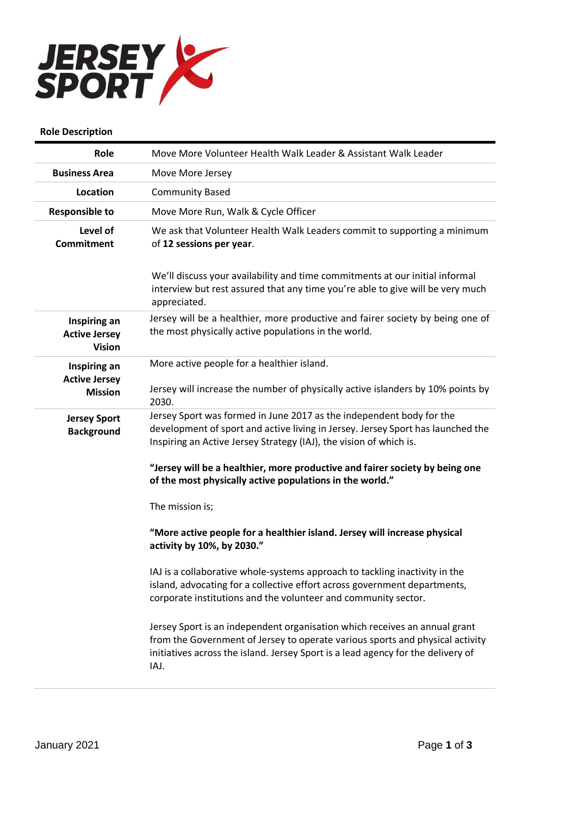

## **Role Description**

| Role                                                  | Move More Volunteer Health Walk Leader & Assistant Walk Leader                                                                                                                                                                                          |
|-------------------------------------------------------|---------------------------------------------------------------------------------------------------------------------------------------------------------------------------------------------------------------------------------------------------------|
| <b>Business Area</b>                                  | Move More Jersey                                                                                                                                                                                                                                        |
| Location                                              | <b>Community Based</b>                                                                                                                                                                                                                                  |
| <b>Responsible to</b>                                 | Move More Run, Walk & Cycle Officer                                                                                                                                                                                                                     |
| Level of<br><b>Commitment</b>                         | We ask that Volunteer Health Walk Leaders commit to supporting a minimum<br>of 12 sessions per year.                                                                                                                                                    |
|                                                       | We'll discuss your availability and time commitments at our initial informal<br>interview but rest assured that any time you're able to give will be very much<br>appreciated.                                                                          |
| Inspiring an<br><b>Active Jersey</b><br><b>Vision</b> | Jersey will be a healthier, more productive and fairer society by being one of<br>the most physically active populations in the world.                                                                                                                  |
| Inspiring an                                          | More active people for a healthier island.                                                                                                                                                                                                              |
| <b>Active Jersey</b><br><b>Mission</b>                | Jersey will increase the number of physically active islanders by 10% points by<br>2030.                                                                                                                                                                |
| <b>Jersey Sport</b><br><b>Background</b>              | Jersey Sport was formed in June 2017 as the independent body for the<br>development of sport and active living in Jersey. Jersey Sport has launched the<br>Inspiring an Active Jersey Strategy (IAJ), the vision of which is.                           |
|                                                       | "Jersey will be a healthier, more productive and fairer society by being one<br>of the most physically active populations in the world."                                                                                                                |
|                                                       | The mission is;                                                                                                                                                                                                                                         |
|                                                       | "More active people for a healthier island. Jersey will increase physical<br>activity by 10%, by 2030."                                                                                                                                                 |
|                                                       | IAJ is a collaborative whole-systems approach to tackling inactivity in the<br>island, advocating for a collective effort across government departments,<br>corporate institutions and the volunteer and community sector.                              |
|                                                       | Jersey Sport is an independent organisation which receives an annual grant<br>from the Government of Jersey to operate various sports and physical activity<br>initiatives across the island. Jersey Sport is a lead agency for the delivery of<br>IAJ. |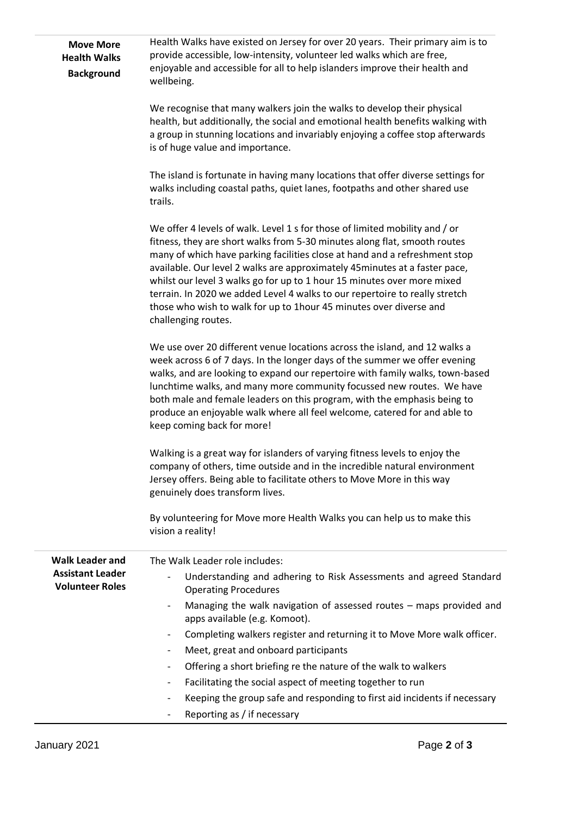| <b>Move More</b><br><b>Health Walks</b><br><b>Background</b> | Health Walks have existed on Jersey for over 20 years. Their primary aim is to<br>provide accessible, low-intensity, volunteer led walks which are free,<br>enjoyable and accessible for all to help islanders improve their health and<br>wellbeing.                                                                                                                                                                                                                                                                                                                        |
|--------------------------------------------------------------|------------------------------------------------------------------------------------------------------------------------------------------------------------------------------------------------------------------------------------------------------------------------------------------------------------------------------------------------------------------------------------------------------------------------------------------------------------------------------------------------------------------------------------------------------------------------------|
|                                                              | We recognise that many walkers join the walks to develop their physical<br>health, but additionally, the social and emotional health benefits walking with<br>a group in stunning locations and invariably enjoying a coffee stop afterwards<br>is of huge value and importance.                                                                                                                                                                                                                                                                                             |
|                                                              | The island is fortunate in having many locations that offer diverse settings for<br>walks including coastal paths, quiet lanes, footpaths and other shared use<br>trails.                                                                                                                                                                                                                                                                                                                                                                                                    |
|                                                              | We offer 4 levels of walk. Level 1 s for those of limited mobility and / or<br>fitness, they are short walks from 5-30 minutes along flat, smooth routes<br>many of which have parking facilities close at hand and a refreshment stop<br>available. Our level 2 walks are approximately 45 minutes at a faster pace,<br>whilst our level 3 walks go for up to 1 hour 15 minutes over more mixed<br>terrain. In 2020 we added Level 4 walks to our repertoire to really stretch<br>those who wish to walk for up to 1hour 45 minutes over diverse and<br>challenging routes. |
|                                                              | We use over 20 different venue locations across the island, and 12 walks a<br>week across 6 of 7 days. In the longer days of the summer we offer evening<br>walks, and are looking to expand our repertoire with family walks, town-based<br>lunchtime walks, and many more community focussed new routes. We have<br>both male and female leaders on this program, with the emphasis being to<br>produce an enjoyable walk where all feel welcome, catered for and able to<br>keep coming back for more!                                                                    |
|                                                              | Walking is a great way for islanders of varying fitness levels to enjoy the<br>company of others, time outside and in the incredible natural environment<br>Jersey offers. Being able to facilitate others to Move More in this way<br>genuinely does transform lives.                                                                                                                                                                                                                                                                                                       |
|                                                              | By volunteering for Move more Health Walks you can help us to make this<br>vision a reality!                                                                                                                                                                                                                                                                                                                                                                                                                                                                                 |
| <b>Walk Leader and</b>                                       | The Walk Leader role includes:                                                                                                                                                                                                                                                                                                                                                                                                                                                                                                                                               |
| <b>Assistant Leader</b><br><b>Volunteer Roles</b>            | Understanding and adhering to Risk Assessments and agreed Standard<br><b>Operating Procedures</b>                                                                                                                                                                                                                                                                                                                                                                                                                                                                            |
|                                                              | Managing the walk navigation of assessed routes - maps provided and<br>$\overline{\phantom{a}}$<br>apps available (e.g. Komoot).                                                                                                                                                                                                                                                                                                                                                                                                                                             |
|                                                              | Completing walkers register and returning it to Move More walk officer.<br>$\overline{\phantom{a}}$                                                                                                                                                                                                                                                                                                                                                                                                                                                                          |
|                                                              | Meet, great and onboard participants<br>$\overline{\phantom{a}}$                                                                                                                                                                                                                                                                                                                                                                                                                                                                                                             |
|                                                              | Offering a short briefing re the nature of the walk to walkers<br>$\overline{\phantom{a}}$                                                                                                                                                                                                                                                                                                                                                                                                                                                                                   |
|                                                              | Facilitating the social aspect of meeting together to run                                                                                                                                                                                                                                                                                                                                                                                                                                                                                                                    |
|                                                              | Keeping the group safe and responding to first aid incidents if necessary                                                                                                                                                                                                                                                                                                                                                                                                                                                                                                    |
|                                                              | Reporting as / if necessary                                                                                                                                                                                                                                                                                                                                                                                                                                                                                                                                                  |
|                                                              |                                                                                                                                                                                                                                                                                                                                                                                                                                                                                                                                                                              |